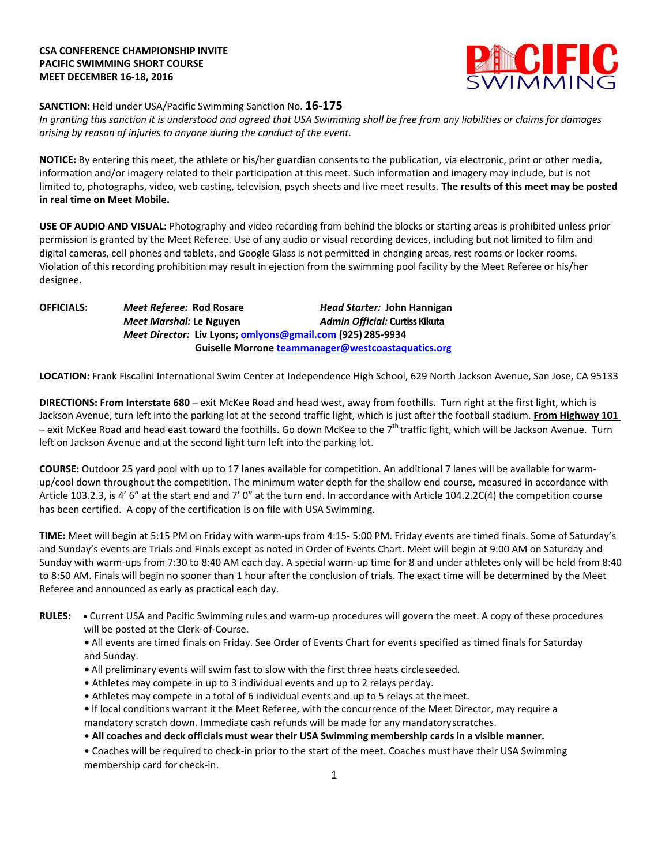# **CSA CONFERENCE CHAMPIONSHIP INVITE PACIFIC SWIMMING SHORT COURSE MEET DECEMBER 16-18, 2016**



# **SANCTION:** Held under USA/Pacific Swimming Sanction No. **16-175**

*In granting this sanction it is understood and agreed that USA Swimming shall be free from any liabilities or claims for damages arising by reason of injuries to anyone during the conduct of the event.*

**NOTICE:** By entering this meet, the athlete or his/her guardian consents to the publication, via electronic, print or other media, information and/or imagery related to their participation at this meet. Such information and imagery may include, but is not limited to, photographs, video, web casting, television, psych sheets and live meet results. **The results of this meet may be posted in real time on Meet Mobile.**

**USE OF AUDIO AND VISUAL:** Photography and video recording from behind the blocks or starting areas is prohibited unless prior permission is granted by the Meet Referee. Use of any audio or visual recording devices, including but not limited to film and digital cameras, cell phones and tablets, and Google Glass is not permitted in changing areas, rest rooms or locker rooms. Violation of this recording prohibition may result in ejection from the swimming pool facility by the Meet Referee or his/her designee.

**OFFICIALS:** *Meet Referee:* **Rod Rosare** *Head Starter:* **John Hannigan** *Meet Marshal:* **Le Nguyen** *Admin Official:* **Curtiss Kikuta** *Meet Director:* **Liv Lyons[; omlyons@gmail.com \(](mailto:omlyons@gmail.com)925) 285-9934** **Guiselle Morrone [teammanager@westcoastaquatics.org](mailto:teammanager@westcoastaquatics.org)**

**LOCATION:** Frank Fiscalini International Swim Center at Independence High School, 629 North Jackson Avenue, San Jose, CA 95133

**DIRECTIONS: From Interstate 680** – exit McKee Road and head west, away from foothills. Turn right at the first light, which is Jackson Avenue, turn left into the parking lot at the second traffic light, which is just after the football stadium. **From Highway 101**  – exit McKee Road and head east toward the foothills. Go down McKee to the 7<sup>th</sup> traffic light, which will be Jackson Avenue. Turn left on Jackson Avenue and at the second light turn left into the parking lot.

**COURSE:** Outdoor 25 yard pool with up to 17 lanes available for competition. An additional 7 lanes will be available for warmup/cool down throughout the competition. The minimum water depth for the shallow end course, measured in accordance with Article 103.2.3, is 4' 6" at the start end and 7' 0" at the turn end. In accordance with Article 104.2.2C(4) the competition course has been certified. A copy of the certification is on file with USA Swimming.

**TIME:** Meet will begin at 5:15 PM on Friday with warm-ups from 4:15- 5:00 PM. Friday events are timed finals. Some of Saturday's and Sunday's events are Trials and Finals except as noted in Order of Events Chart. Meet will begin at 9:00 AM on Saturday and Sunday with warm-ups from 7:30 to 8:40 AM each day. A special warm-up time for 8 and under athletes only will be held from 8:40 to 8:50 AM. Finals will begin no sooner than 1 hour after the conclusion of trials. The exact time will be determined by the Meet Referee and announced as early as practical each day.

**RULES: •** Current USA and Pacific Swimming rules and warm-up procedures will govern the meet. A copy of these procedures will be posted at the Clerk-of-Course.

**•** All events are timed finals on Friday. See Order of Events Chart for events specified as timed finals for Saturday and Sunday.

- **•** All preliminary events will swim fast to slow with the first three heats circleseeded.
- Athletes may compete in up to 3 individual events and up to 2 relays perday.
- Athletes may compete in a total of 6 individual events and up to 5 relays at the meet.
- **•** If local conditions warrant it the Meet Referee, with the concurrence of the Meet Director, may require a mandatory scratch down. Immediate cash refunds will be made for any mandatoryscratches.
- **All coaches and deck officials must wear their USA Swimming membership cards in a visible manner.**
- Coaches will be required to check-in prior to the start of the meet. Coaches must have their USA Swimming membership card for check-in.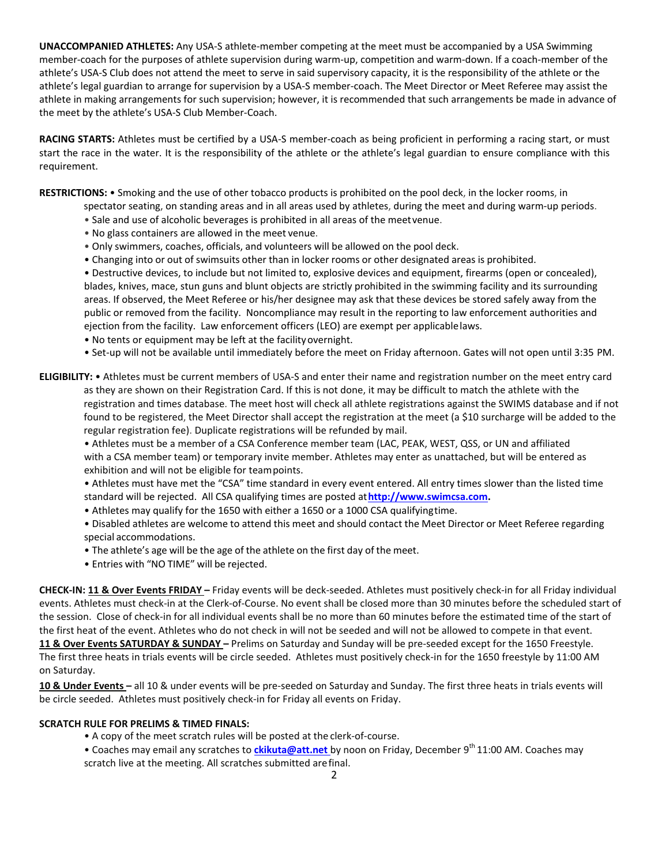**UNACCOMPANIED ATHLETES:** Any USA-S athlete-member competing at the meet must be accompanied by a USA Swimming member-coach for the purposes of athlete supervision during warm-up, competition and warm-down. If a coach-member of the athlete's USA-S Club does not attend the meet to serve in said supervisory capacity, it is the responsibility of the athlete or the athlete's legal guardian to arrange for supervision by a USA-S member-coach. The Meet Director or Meet Referee may assist the athlete in making arrangements for such supervision; however, it is recommended that such arrangements be made in advance of the meet by the athlete's USA-S Club Member-Coach.

**RACING STARTS:** Athletes must be certified by a USA-S member-coach as being proficient in performing a racing start, or must start the race in the water. It is the responsibility of the athlete or the athlete's legal guardian to ensure compliance with this requirement.

**RESTRICTIONS:** • Smoking and the use of other tobacco products is prohibited on the pool deck, in the locker rooms, in

- spectator seating, on standing areas and in all areas used by athletes, during the meet and during warm-up periods.
- Sale and use of alcoholic beverages is prohibited in all areas of the meetvenue.
- No glass containers are allowed in the meet venue.
- Only swimmers, coaches, officials, and volunteers will be allowed on the pool deck.
- Changing into or out of swimsuits other than in locker rooms or other designated areas is prohibited.

• Destructive devices, to include but not limited to, explosive devices and equipment, firearms (open or concealed), blades, knives, mace, stun guns and blunt objects are strictly prohibited in the swimming facility and its surrounding areas. If observed, the Meet Referee or his/her designee may ask that these devices be stored safely away from the public or removed from the facility. Noncompliance may result in the reporting to law enforcement authorities and ejection from the facility. Law enforcement officers (LEO) are exempt per applicablelaws.

- No tents or equipment may be left at the facilityovernight.
- Set-up will not be available until immediately before the meet on Friday afternoon. Gates will not open until 3:35 PM.
- **ELIGIBILITY:**  Athletes must be current members of USA-S and enter their name and registration number on the meet entry card as they are shown on their Registration Card. If this is not done, it may be difficult to match the athlete with the registration and times database. The meet host will check all athlete registrations against the SWIMS database and if not found to be registered, the Meet Director shall accept the registration at the meet (a \$10 surcharge will be added to the regular registration fee). Duplicate registrations will be refunded by mail.

• Athletes must be a member of a CSA Conference member team (LAC, PEAK, WEST, QSS, or UN and affiliated with a CSA member team) or temporary invite member. Athletes may enter as unattached, but will be entered as exhibition and will not be eligible for teampoints.

• Athletes must have met the "CSA" time standard in every event entered. All entry times slower than the listed time standard will be rejected. All CSA qualifying times are posted at**[http://www.swimcsa.com.](http://www.swimcsa.com/)**

• Athletes may qualify for the 1650 with either a 1650 or a 1000 CSA qualifyingtime.

• Disabled athletes are welcome to attend this meet and should contact the Meet Director or Meet Referee regarding special accommodations.

- The athlete's age will be the age of the athlete on the first day of the meet.
- Entries with "NO TIME" will be rejected.

**CHECK-IN: 11 & Over Events FRIDAY –** Friday events will be deck-seeded. Athletes must positively check-in for all Friday individual events. Athletes must check-in at the Clerk-of-Course. No event shall be closed more than 30 minutes before the scheduled start of the session. Close of check-in for all individual events shall be no more than 60 minutes before the estimated time of the start of the first heat of the event. Athletes who do not check in will not be seeded and will not be allowed to compete in that event. **11 & Over Events SATURDAY & SUNDAY –** Prelims on Saturday and Sunday will be pre-seeded except for the 1650 Freestyle.

The first three heats in trials events will be circle seeded. Athletes must positively check-in for the 1650 freestyle by 11:00 AM on Saturday.

**10 & Under Events –** all 10 & under events will be pre-seeded on Saturday and Sunday. The first three heats in trials events will be circle seeded. Athletes must positively check-in for Friday all events on Friday.

#### **SCRATCH RULE FOR PRELIMS & TIMED FINALS:**

- A copy of the meet scratch rules will be posted at the clerk-of-course.
- Coaches may email any scratches to *ckikuta@att.net* by noon on Friday, December 9<sup>th</sup> 11:00 AM. Coaches may scratch live at the meeting. All scratches submitted arefinal.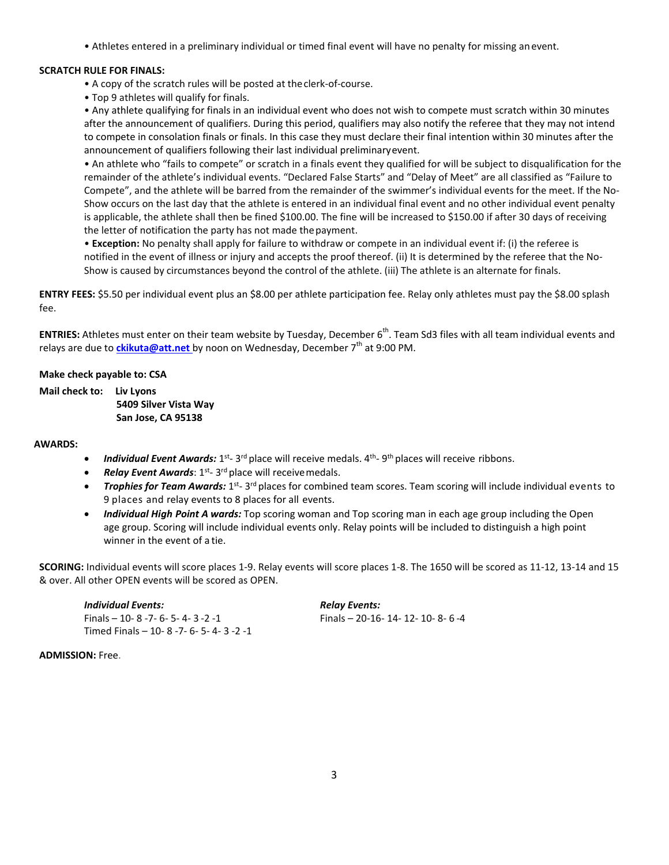• Athletes entered in a preliminary individual or timed final event will have no penalty for missing anevent.

# **SCRATCH RULE FOR FINALS:**

- A copy of the scratch rules will be posted at theclerk-of-course.
- Top 9 athletes will qualify for finals.

• Any athlete qualifying for finals in an individual event who does not wish to compete must scratch within 30 minutes after the announcement of qualifiers. During this period, qualifiers may also notify the referee that they may not intend to compete in consolation finals or finals. In this case they must declare their final intention within 30 minutes after the announcement of qualifiers following their last individual preliminaryevent.

• An athlete who "fails to compete" or scratch in a finals event they qualified for will be subject to disqualification for the remainder of the athlete's individual events. "Declared False Starts" and "Delay of Meet" are all classified as "Failure to Compete", and the athlete will be barred from the remainder of the swimmer's individual events for the meet. If the No-Show occurs on the last day that the athlete is entered in an individual final event and no other individual event penalty is applicable, the athlete shall then be fined \$100.00. The fine will be increased to \$150.00 if after 30 days of receiving the letter of notification the party has not made thepayment.

• **Exception:** No penalty shall apply for failure to withdraw or compete in an individual event if: (i) the referee is notified in the event of illness or injury and accepts the proof thereof. (ii) It is determined by the referee that the No-Show is caused by circumstances beyond the control of the athlete. (iii) The athlete is an alternate for finals.

**ENTRY FEES:** \$5.50 per individual event plus an \$8.00 per athlete participation fee. Relay only athletes must pay the \$8.00 splash fee.

**ENTRIES:** Athletes must enter on their team website by Tuesday, December 6<sup>th</sup>. Team Sd3 files with all team individual events and relays are due to *ckikuta@att.net* by noon on Wednesday, December 7<sup>th</sup> at 9:00 PM.

# **Make check payable to: CSA**

**Mail check to: Liv Lyons 5409 Silver Vista Way San Jose, CA 95138**

#### **AWARDS:**

- Individual Event Awards: 1<sup>st</sup>- 3<sup>rd</sup> place will receive medals. 4<sup>th</sup>- 9<sup>th</sup> places will receive ribbons.
- Relay Event Awards: 1<sup>st</sup>- 3<sup>rd</sup> place will receive medals.
- **Trophies for Team Awards:** 1<sup>st</sup>-3<sup>rd</sup> places for combined team scores. Team scoring will include individual events to 9 places and relay events to 8 places for all events.
- *Individual High Point A wards:* Top scoring woman and Top scoring man in each age group including the Open age group. Scoring will include individual events only. Relay points will be included to distinguish a high point winner in the event of a tie.

**SCORING:** Individual events will score places 1-9. Relay events will score places 1-8. The 1650 will be scored as 11-12, 13-14 and 15 & over. All other OPEN events will be scored as OPEN.

*Individual Events: Relay Events:* Finals – 10- 8 -7- 6- 5- 4- 3 -2 -1 Finals – 20-16- 14- 12- 10- 8- 6 -4 Timed Finals – 10- 8 -7- 6- 5- 4- 3 -2 -1

#### **ADMISSION:** Free.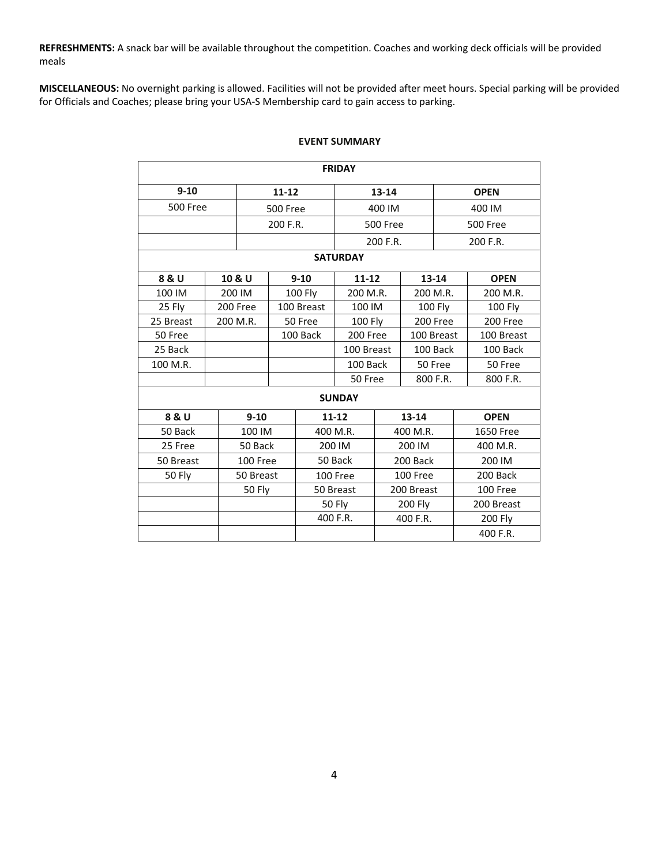**REFRESHMENTS:** A snack bar will be available throughout the competition. Coaches and working deck officials will be provided meals

**MISCELLANEOUS:** No overnight parking is allowed. Facilities will not be provided after meet hours. Special parking will be provided for Officials and Coaches; please bring your USA-S Membership card to gain access to parking.

| <b>FRIDAY</b>   |               |                 |          |                    |                 |                 |                |                      |                  |  |
|-----------------|---------------|-----------------|----------|--------------------|-----------------|-----------------|----------------|----------------------|------------------|--|
| $9 - 10$        |               | $11 - 12$       |          |                    | $13 - 14$       |                 |                | <b>OPEN</b>          |                  |  |
| 500 Free        |               | <b>500 Free</b> |          |                    | 400 IM          |                 |                | 400 IM               |                  |  |
|                 |               |                 | 200 F.R. |                    | <b>500 Free</b> |                 |                | <b>500 Free</b>      |                  |  |
|                 |               |                 |          |                    | 200 F.R.        |                 | 200 F.R.       |                      |                  |  |
| <b>SATURDAY</b> |               |                 |          |                    |                 |                 |                |                      |                  |  |
| 8 & U           |               | 10 & U          |          | $9 - 10$           | $11 - 12$       |                 |                | 13-14<br><b>OPEN</b> |                  |  |
| 100 IM          |               | 200 IM          |          | 100 Fly            | 200 M.R.        |                 | 200 M.R.       |                      | 200 M.R.         |  |
| 25 Fly          |               | 200 Free        |          | 100 Breast         | 100 IM          |                 | <b>100 Fly</b> |                      | 100 Fly          |  |
| 25 Breast       |               | 200 M.R.        |          | 50 Free<br>100 Fly |                 |                 | 200 Free       |                      | 200 Free         |  |
| 50 Free         |               |                 |          | 100 Back           | 200 Free        | 100 Breast      |                |                      | 100 Breast       |  |
| 25 Back         |               |                 |          | 100 Breast         |                 |                 | 100 Back       |                      | 100 Back         |  |
| 100 M.R.        |               |                 |          |                    | 100 Back        |                 |                | 50 Free              | 50 Free          |  |
|                 |               |                 |          | 50 Free            |                 |                 | 800 F.R.       | 800 F.R.             |                  |  |
| <b>SUNDAY</b>   |               |                 |          |                    |                 |                 |                |                      |                  |  |
| 8 & U           | $9 - 10$      |                 |          | $11 - 12$          |                 | 13-14           |                |                      | <b>OPEN</b>      |  |
| 50 Back         |               | 100 IM          |          | 400 M.R.           |                 | 400 M.R.        |                |                      | <b>1650 Free</b> |  |
| 25 Free         |               | 50 Back         |          | 200 IM             |                 | 200 IM          |                |                      | 400 M.R.         |  |
| 50 Breast       |               | 100 Free        |          | 50 Back            |                 | 200 Back        |                |                      | 200 IM           |  |
| 50 Fly          |               | 50 Breast       |          | 100 Free           |                 | <b>100 Free</b> |                |                      | 200 Back         |  |
|                 | <b>50 Fly</b> |                 |          | 50 Breast          | 200 Breast      |                 |                | 100 Free             |                  |  |
|                 |               |                 |          |                    | 50 Fly          |                 | 200 Fly        |                      | 200 Breast       |  |
|                 |               |                 |          |                    | 400 F.R.        | 400 F.R.        |                |                      | 200 Fly          |  |
|                 |               |                 |          |                    |                 |                 |                |                      | 400 F.R.         |  |

## **EVENT SUMMARY**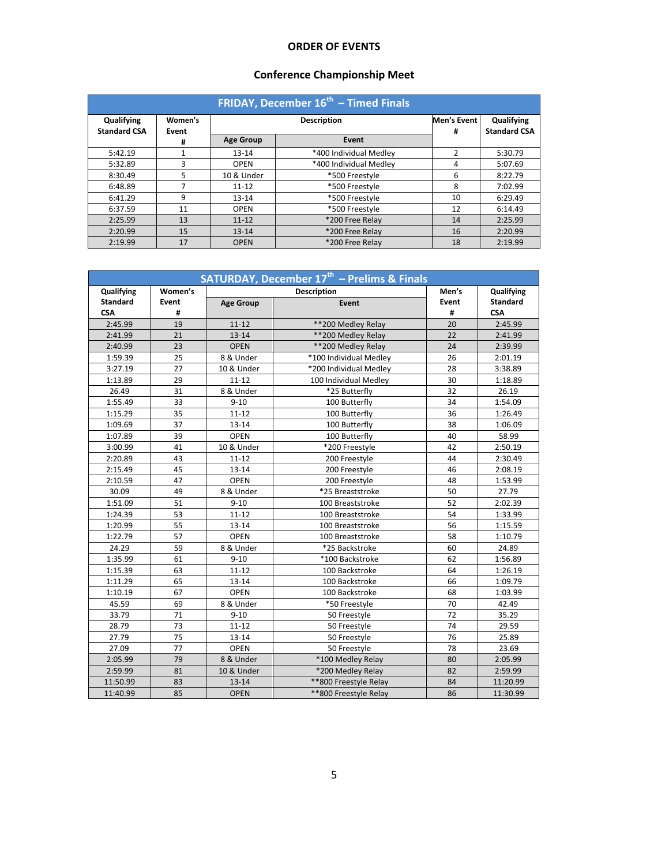# **ORDER OF EVENTS**

# **Conference Championship Meet**

| FRIDAY, December 16 <sup>th</sup> - Timed Finals |                  |                  |                        |                  |                                   |  |  |  |
|--------------------------------------------------|------------------|------------------|------------------------|------------------|-----------------------------------|--|--|--|
| Qualifying<br><b>Standard CSA</b>                | Women's<br>Event |                  | <b>Description</b>     | Men's Event<br># | Qualifying<br><b>Standard CSA</b> |  |  |  |
|                                                  | #                | <b>Age Group</b> | Event                  |                  |                                   |  |  |  |
| 5:42.19                                          |                  | $13 - 14$        | *400 Individual Medlev | $\mathcal{P}$    | 5:30.79                           |  |  |  |
| 5:32.89                                          | 3                | <b>OPEN</b>      | *400 Individual Medley | 4                | 5:07.69                           |  |  |  |
| 8:30.49                                          | 5                | 10 & Under       | *500 Freestyle         | 6                | 8:22.79                           |  |  |  |
| 6:48.89                                          |                  | $11 - 12$        | *500 Freestyle         | 8                | 7:02.99                           |  |  |  |
| 6:41.29                                          | 9                | $13 - 14$        | *500 Freestyle         | 10               | 6:29.49                           |  |  |  |
| 6:37.59                                          | 11               | <b>OPEN</b>      | *500 Freestyle         | 12               | 6:14.49                           |  |  |  |
| 2:25.99                                          | 13               | $11 - 12$        | *200 Free Relay        | 14               | 2:25.99                           |  |  |  |
| 2:20.99                                          | 15               | $13 - 14$        | *200 Free Relav        | 16               | 2:20.99                           |  |  |  |
| 2:19.99                                          | 17               | <b>OPEN</b>      | *200 Free Relav        | 18               | 2:19.99                           |  |  |  |

| SATURDAY, December 17 <sup>th</sup> - Prelims & Finals |         |                           |                        |       |                 |  |  |
|--------------------------------------------------------|---------|---------------------------|------------------------|-------|-----------------|--|--|
| Qualifying                                             | Women's |                           | <b>Description</b>     | Men's | Qualifying      |  |  |
| <b>Standard</b>                                        | Event   | <b>Age Group</b><br>Event |                        | Event | <b>Standard</b> |  |  |
| <b>CSA</b>                                             | #       |                           |                        | #     | <b>CSA</b>      |  |  |
| 2:45.99                                                | 19      | $11 - 12$                 | **200 Medley Relay     | 20    | 2:45.99         |  |  |
| 2:41.99                                                | 21      | $13 - 14$                 | ** 200 Medley Relay    | 22    | 2:41.99         |  |  |
| 2:40.99                                                | 23      | <b>OPEN</b>               | ** 200 Medley Relay    | 24    | 2:39.99         |  |  |
| 1:59.39                                                | 25      | 8 & Under                 | *100 Individual Medley | 26    | 2:01.19         |  |  |
| 3:27.19                                                | 27      | 10 & Under                | *200 Individual Medley | 28    | 3:38.89         |  |  |
| 1:13.89                                                | 29      | $11 - 12$                 | 100 Individual Medley  | 30    | 1:18.89         |  |  |
| 26.49                                                  | 31      | 8 & Under                 | *25 Butterfly          | 32    | 26.19           |  |  |
| 1:55.49                                                | 33      | $9 - 10$                  | 100 Butterfly          | 34    | 1:54.09         |  |  |
| 1:15.29                                                | 35      | $11 - 12$                 | 100 Butterfly          | 36    | 1:26.49         |  |  |
| 1:09.69                                                | 37      | $13 - 14$                 | 100 Butterfly          | 38    | 1:06.09         |  |  |
| 1:07.89                                                | 39      | <b>OPEN</b>               | 100 Butterfly          | 40    | 58.99           |  |  |
| 3:00.99                                                | 41      | 10 & Under                | *200 Freestyle         | 42    | 2:50.19         |  |  |
| 2:20.89                                                | 43      | $11 - 12$                 | 200 Freestyle          | 44    | 2:30.49         |  |  |
| 2:15.49                                                | 45      | $13 - 14$                 | 200 Freestyle          | 46    | 2:08.19         |  |  |
| 2:10.59                                                | 47      | <b>OPEN</b>               | 200 Freestyle          | 48    | 1:53.99         |  |  |
| 30.09                                                  | 49      | 8 & Under                 | *25 Breaststroke       | 50    | 27.79           |  |  |
| 1:51.09                                                | 51      | $9 - 10$                  | 100 Breaststroke       | 52    | 2:02.39         |  |  |
| 1:24.39                                                | 53      | $11 - 12$                 | 100 Breaststroke       | 54    | 1:33.99         |  |  |
| 1:20.99                                                | 55      | $13 - 14$                 | 100 Breaststroke       | 56    | 1:15.59         |  |  |
| 1:22.79                                                | 57      | <b>OPEN</b>               | 100 Breaststroke       | 58    | 1:10.79         |  |  |
| 24.29                                                  | 59      | 8 & Under                 | *25 Backstroke         | 60    | 24.89           |  |  |
| 1:35.99                                                | 61      | $9 - 10$                  | *100 Backstroke        | 62    | 1:56.89         |  |  |
| 1:15.39                                                | 63      | $11 - 12$                 | 100 Backstroke         | 64    | 1:26.19         |  |  |
| 1:11.29                                                | 65      | $13 - 14$                 | 100 Backstroke         | 66    | 1:09.79         |  |  |
| 1:10.19                                                | 67      | <b>OPEN</b>               | 100 Backstroke         | 68    | 1:03.99         |  |  |
| 45.59                                                  | 69      | 8 & Under                 | *50 Freestyle          | 70    | 42.49           |  |  |
| 33.79                                                  | 71      | $9 - 10$                  | 50 Freestyle           | 72    | 35.29           |  |  |
| 28.79                                                  | 73      | $11 - 12$                 | 50 Freestyle           | 74    | 29.59           |  |  |
| 27.79                                                  | 75      | 13-14                     | 50 Freestyle           | 76    | 25.89           |  |  |
| 27.09                                                  | 77      | <b>OPEN</b>               | 50 Freestyle           | 78    | 23.69           |  |  |
| 2:05.99                                                | 79      | 8 & Under                 | *100 Medley Relay      | 80    | 2:05.99         |  |  |
| 2:59.99                                                | 81      | 10 & Under                | *200 Medley Relay      | 82    | 2:59.99         |  |  |
| 11:50.99                                               | 83      | $13 - 14$                 | ** 800 Freestyle Relay | 84    | 11:20.99        |  |  |
| 11:40.99                                               | 85      | <b>OPEN</b>               | ** 800 Freestyle Relay | 86    | 11:30.99        |  |  |